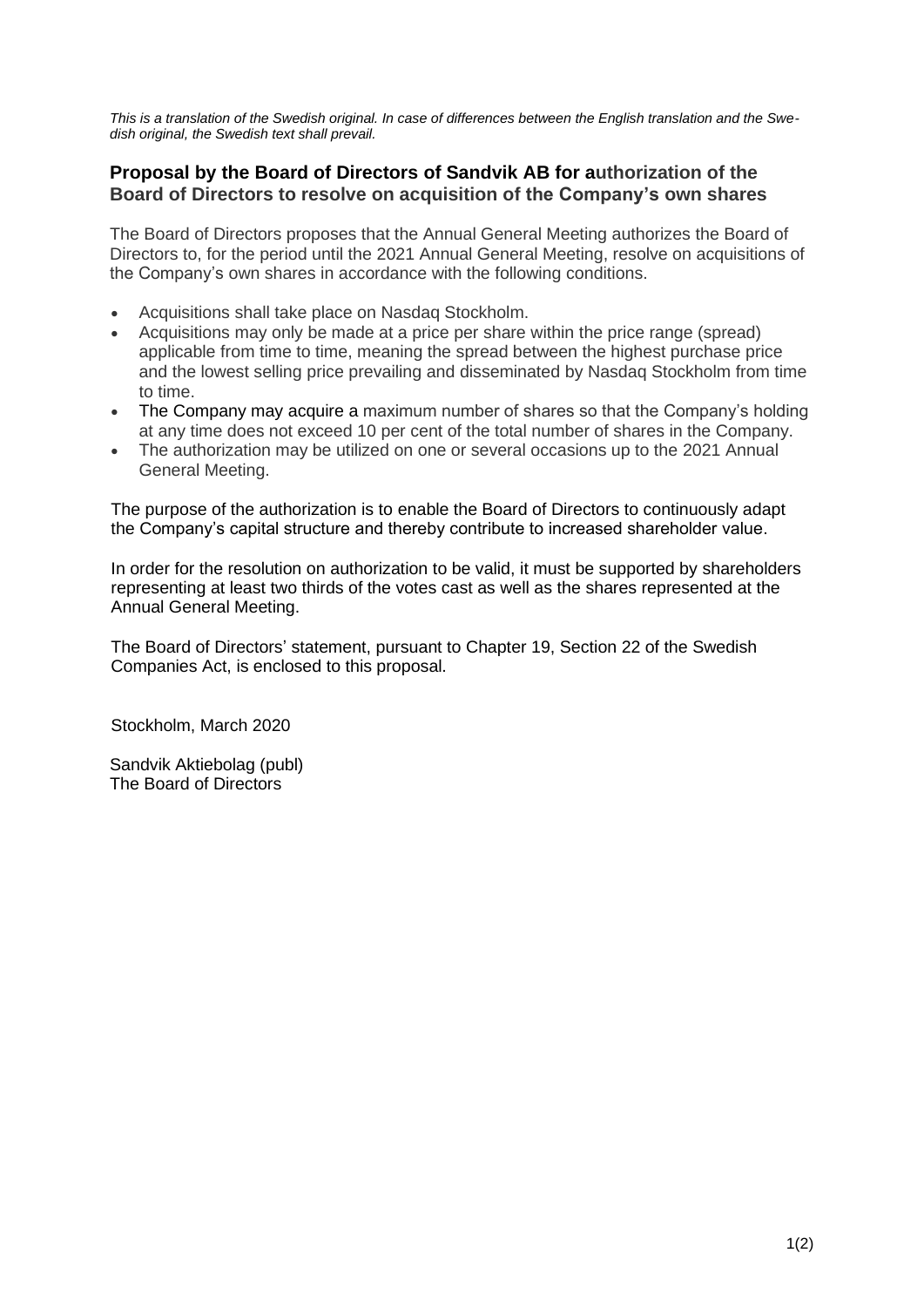*This is a translation of the Swedish original. In case of differences between the English translation and the Swedish original, the Swedish text shall prevail.*

## **Proposal by the Board of Directors of Sandvik AB for authorization of the Board of Directors to resolve on acquisition of the Company's own shares**

The Board of Directors proposes that the Annual General Meeting authorizes the Board of Directors to, for the period until the 2021 Annual General Meeting, resolve on acquisitions of the Company's own shares in accordance with the following conditions.

- Acquisitions shall take place on Nasdaq Stockholm.
- Acquisitions may only be made at a price per share within the price range (spread) applicable from time to time, meaning the spread between the highest purchase price and the lowest selling price prevailing and disseminated by Nasdaq Stockholm from time to time.
- The Company may acquire a maximum number of shares so that the Company's holding at any time does not exceed 10 per cent of the total number of shares in the Company.
- The authorization may be utilized on one or several occasions up to the 2021 Annual General Meeting.

The purpose of the authorization is to enable the Board of Directors to continuously adapt the Company's capital structure and thereby contribute to increased shareholder value.

In order for the resolution on authorization to be valid, it must be supported by shareholders representing at least two thirds of the votes cast as well as the shares represented at the Annual General Meeting.

The Board of Directors' statement, pursuant to Chapter 19, Section 22 of the Swedish Companies Act, is enclosed to this proposal.

Stockholm, March 2020

Sandvik Aktiebolag (publ) The Board of Directors